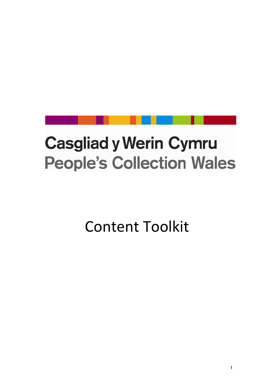# **Casgliad y Werin Cymru People's Collection Wales**

Content Toolkit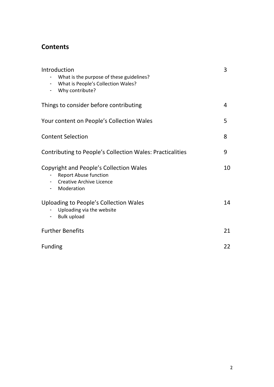## **Contents**

| Introduction<br>What is the purpose of these guidelines?<br>What is People's Collection Wales?<br>$\blacksquare$<br>Why contribute? | 3  |
|-------------------------------------------------------------------------------------------------------------------------------------|----|
| Things to consider before contributing                                                                                              | 4  |
| Your content on People's Collection Wales                                                                                           | 5  |
| <b>Content Selection</b>                                                                                                            | 8  |
| <b>Contributing to People's Collection Wales: Practicalities</b>                                                                    | 9  |
| Copyright and People's Collection Wales<br><b>Report Abuse function</b><br><b>Creative Archive Licence</b><br>Moderation            | 10 |
| Uploading to People's Collection Wales<br>Uploading via the website<br><b>Bulk upload</b>                                           | 14 |
| <b>Further Benefits</b>                                                                                                             | 21 |
| <b>Funding</b>                                                                                                                      | 22 |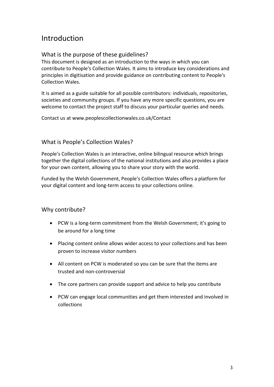# Introduction

#### What is the purpose of these guidelines?

This document is designed as an introduction to the ways in which you can contribute to People's Collection Wales. It aims to introduce key considerations and principles in digitisation and provide guidance on contributing content to People's Collection Wales.

It is aimed as a guide suitable for all possible contributors: individuals, repositories, societies and community groups. If you have any more specific questions, you are welcome to contact the project staff to discuss your particular queries and needs.

Contact us at www.peoplescollectionwales.co.uk/Contact

#### What is People's Collection Wales?

People's Collection Wales is an interactive, online bilingual resource which brings together the digital collections of the national institutions and also provides a place for your own content, allowing you to share your story with the world.

Funded by the Welsh Government, People's Collection Wales offers a platform for your digital content and long-term access to your collections online.

#### Why contribute?

- PCW is a long-term commitment from the Welsh Government; it's going to be around for a long time
- Placing content online allows wider access to your collections and has been proven to increase visitor numbers
- All content on PCW is moderated so you can be sure that the items are trusted and non-controversial
- The core partners can provide support and advice to help you contribute
- PCW can engage local communities and get them interested and involved in collections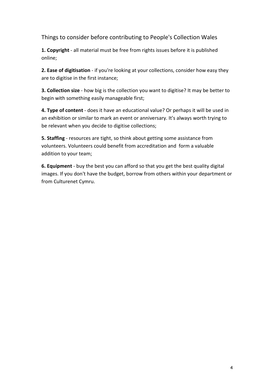Things to consider before contributing to People's Collection Wales

**1. Copyright** - all material must be free from rights issues before it is published online;

**2. Ease of digitisation** - if you're looking at your collections, consider how easy they are to digitise in the first instance;

**3. Collection size** - how big is the collection you want to digitise? It may be better to begin with something easily manageable first;

**4. Type of content** - does it have an educational value? Or perhaps it will be used in an exhibition or similar to mark an event or anniversary. It's always worth trying to be relevant when you decide to digitise collections;

**5. Staffing** - resources are tight, so think about getting some assistance from volunteers. Volunteers could benefit from accreditation and form a valuable addition to your team;

**6. Equipment** - buy the best you can afford so that you get the best quality digital images. If you don't have the budget, borrow from others within your department or from Culturenet Cymru.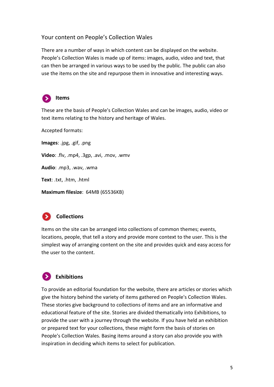#### Your content on People's Collection Wales

There are a number of ways in which content can be displayed on the website. People's Collection Wales is made up of items: images, audio, video and text, that can then be arranged in various ways to be used by the public. The public can also use the items on the site and repurpose them in innovative and interesting ways.



#### **Items**

These are the basis of People's Collection Wales and can be images, audio, video or text items relating to the history and heritage of Wales.

Accepted formats:

**Images**: .jpg, .gif, .png

**Video**: .flv, .mp4, .3gp, .avi, .mov, .wmv

**Audio**: .mp3, .wav, .wma

**Text**: .txt, .htm, .html

**Maximum filesize**: 64MB (65536KB)



#### **Collections**

Items on the site can be arranged into collections of common themes; events, locations, people, that tell a story and provide more context to the user. This is the simplest way of arranging content on the site and provides quick and easy access for the user to the content.

## **Exhibitions**

To provide an editorial foundation for the website, there are articles or stories which give the history behind the variety of items gathered on People's Collection Wales. These stories give background to collections of items and are an informative and educational feature of the site. Stories are divided thematically into Exhibitions, to provide the user with a journey through the website. If you have held an exhibition or prepared text for your collections, these might form the basis of stories on People's Collection Wales. Basing items around a story can also provide you with inspiration in deciding which items to select for publication.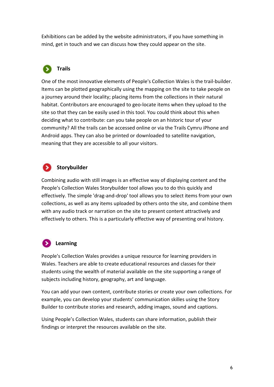Exhibitions can be added by the website administrators, if you have something in mind, get in touch and we can discuss how they could appear on the site.

# **Trails**

One of the most innovative elements of People's Collection Wales is the trail-builder. Items can be plotted geographically using the mapping on the site to take people on a journey around their locality; placing items from the collections in their natural habitat. Contributors are encouraged to geo-locate items when they upload to the site so that they can be easily used in this tool. You could think about this when deciding what to contribute: can you take people on an historic tour of your community? All the trails can be accessed online or via the Trails Cymru iPhone and Android apps. They can also be printed or downloaded to satellite navigation, meaning that they are accessible to all your visitors.

# **Storybuilder**

Combining audio with still images is an effective way of displaying content and the People's Collection Wales Storybuilder tool allows you to do this quickly and effectively. The simple 'drag-and-drop' tool allows you to select items from your own collections, as well as any items uploaded by others onto the site, and combine them with any audio track or narration on the site to present content attractively and effectively to others. This is a particularly effective way of presenting oral history.

# **Learning**

People's Collection Wales provides a unique resource for learning providers in Wales. Teachers are able to create educational resources and classes for their students using the wealth of material available on the site supporting a range of subjects including history, geography, art and language.

You can add your own content, contribute stories or create your own collections. For example, you can develop your students' communication skilles using the Story Builder to contribute stories and research, adding images, sound and captions.

Using People's Collection Wales, students can share information, publish their findings or interpret the resources available on the site.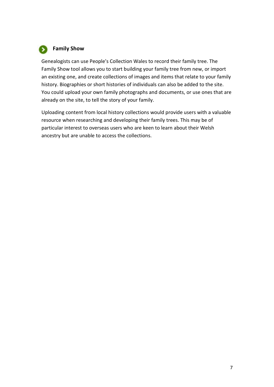

#### **Family Show**

Genealogists can use People's Collection Wales to record their family tree. The Family Show tool allows you to start building your family tree from new, or import an existing one, and create collections of images and items that relate to your family history. Biographies or short histories of individuals can also be added to the site. You could upload your own family photographs and documents, or use ones that are already on the site, to tell the story of your family.

Uploading content from local history collections would provide users with a valuable resource when researching and developing their family trees. This may be of particular interest to overseas users who are keen to learn about their Welsh ancestry but are unable to access the collections.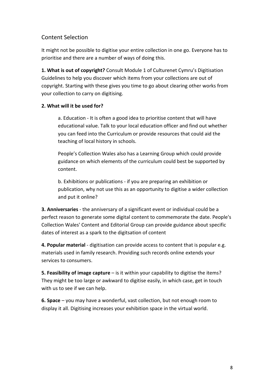#### Content Selection

It might not be possible to digitise your entire collection in one go. Everyone has to prioritise and there are a number of ways of doing this.

**1. What is out of copyright?** Consult Module 1 of Culturenet Cymru's Digitisation Guidelines to help you discover which items from your collections are out of copyright. Starting with these gives you time to go about clearing other works from your collection to carry on digitising.

#### **2. What will it be used for?**

a. Education - It is often a good idea to prioritise content that will have educational value. Talk to your local education officer and find out whether you can feed into the Curriculum or provide resources that could aid the teaching of local history in schools.

People's Collection Wales also has a Learning Group which could provide guidance on which elements of the curriculum could best be supported by content.

b. Exhibitions or publications - if you are preparing an exhibition or publication, why not use this as an opportunity to digitise a wider collection and put it online?

**3. Anniversaries** - the anniversary of a significant event or individual could be a perfect reason to generate some digital content to commemorate the date. People's Collection Wales' Content and Editorial Group can provide guidance about specific dates of interest as a spark to the digitsation of content

**4. Popular material** - digitisation can provide access to content that is popular e.g. materials used in family research. Providing such records online extends your services to consumers.

**5. Feasibility of image capture** – is it within your capability to digitise the items? They might be too large or awkward to digitise easily, in which case, get in touch with us to see if we can help.

**6. Space** – you may have a wonderful, vast collection, but not enough room to display it all. Digitising increases your exhibition space in the virtual world.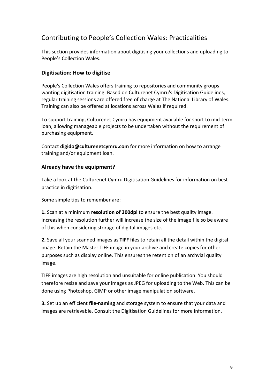## Contributing to People's Collection Wales: Practicalities

This section provides information about digitising your collections and uploading to People's Collection Wales.

#### **Digitisation: How to digitise**

People's Collection Wales offers training to repositories and community groups wanting digitisation training. Based on Culturenet Cymru's Digitisation Guidelines, regular training sessions are offered free of charge at The National Library of Wales. Training can also be offered at locations across Wales if required.

To support training, Culturenet Cymru has equipment available for short to mid-term loan, allowing manageable projects to be undertaken without the requirement of purchasing equipment.

Contact **digido@culturenetcymru.com** for more information on how to arrange training and/or equipment loan.

#### **Already have the equipment?**

Take a look at the Culturenet Cymru Digitisation Guidelines for information on best practice in digitisation.

Some simple tips to remember are:

**1.** Scan at a minimum **resolution of 300dpi** to ensure the best quality image. Increasing the resolution further will increase the size of the image file so be aware of this when considering storage of digital images etc.

**2.** Save all your scanned images as **TIFF** files to retain all the detail within the digital image. Retain the Master TIFF image in your archive and create copies for other purposes such as display online. This ensures the retention of an archvial quality image.

TIFF images are high resolution and unsuitable for online publication. You should therefore resize and save your images as JPEG for uploading to the Web. This can be done using Photoshop, GIMP or other image manipulation software.

**3.** Set up an efficient **file-naming** and storage system to ensure that your data and images are retrievable. Consult the Digitisation Guidelines for more information.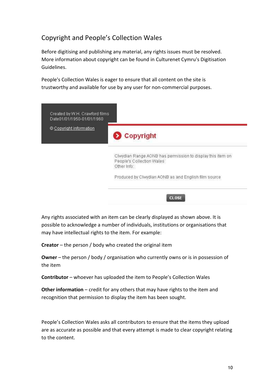## Copyright and People's Collection Wales

Before digitising and publishing any material, any rights issues must be resolved. More information about copyright can be found in Culturenet Cymru's Digitisation Guidelines.

People's Collection Wales is eager to ensure that all content on the site is trustworthy and available for use by any user for non-commercial purposes.

| © Copyright information | Copyright                                                                                              |
|-------------------------|--------------------------------------------------------------------------------------------------------|
|                         | Clwydian Range AONB has permission to display this item on<br>People's Collection Wales<br>Other Info: |
|                         | Produced by Clwydian AONB as and English film source                                                   |

Any rights associated with an item can be clearly displayed as shown above. It is possible to acknowledge a number of individuals, institutions or organisations that may have intellectual rights to the item. For example:

**Creator** – the person / body who created the original item

**Owner** – the person / body / organisation who currently owns or is in possession of the item

**Contributor** – whoever has uploaded the item to People's Collection Wales

**Other information** – credit for any others that may have rights to the item and recognition that permission to display the item has been sought.

People's Collection Wales asks all contributors to ensure that the items they upload are as accurate as possible and that every attempt is made to clear copyright relating to the content.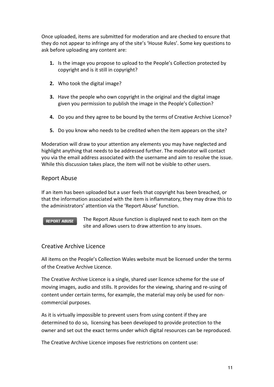Once uploaded, items are submitted for moderation and are checked to ensure that they do not appear to infringe any of the site's ['House Rules'](http://www.peoplescollectionwales.com/Copyright). Some key questions to ask before uploading any content are:

- **1.** Is the image you propose to upload to the People's Collection protected by copyright and is it still in copyright?
- **2.** Who took the digital image?
- **3.** Have the people who own copyright in the original and the digital image given you permission to publish the image in the People's Collection?
- **4.** Do you and they agree to be bound by the terms of Creative Archive Licence?
- **5.** Do you know who needs to be credited when the item appears on the site?

Moderation will draw to your attention any elements you may have neglected and highlight anything that needs to be addressed further. The moderator will contact you via the email address associated with the username and aim to resolve the issue. While this discussion takes place, the item will not be visible to other users.

#### Report Abuse

If an item has been uploaded but a user feels that copyright has been breached, or that the information associated with the item is inflammatory, they may draw this to the administrators' attention via the 'Report Abuse' function.

#### **REPORT ABUSE**

The Report Abuse function is displayed next to each item on the site and allows users to draw attention to any issues.

#### Creative Archive Licence

All items on the People's Collection Wales website must be licensed under the terms of the Creative Archive Licence.

The Creative Archive Licence is a single, shared user licence scheme for the use of moving images, audio and stills. It provides for the viewing, sharing and re-using of content under certain terms, for example, the material may only be used for noncommercial purposes.

As it is virtually impossible to prevent users from using content if they are determined to do so, licensing has been developed to provide protection to the owner and set out the exact terms under which digital resources can be reproduced.

The Creative Archive Licence imposes five restrictions on content use: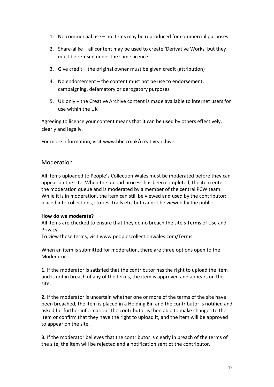- 1. No commercial use no items may be reproduced for commercial purposes
- 2. Share-alike all content may be used to create 'Derivative Works' but they must be re-used under the same licence
- 3. Give credit the original owner must be given credit (attribution)
- 4. No endorsement the content must not be use to endorsement, campaigning, defamatory or derogatory purposes
- 5. UK only the Creative Archive content is made available to internet users for use within the UK

Agreeing to licence your content means that it can be used by others effectively, clearly and legally.

For more information, visit www.bbc.co.uk/creativearchive

#### Moderation

All items uploaded to People's Collection Wales must be moderated before they can appear on the site. When the upload process has been completed, the item enters the moderation queue and is moderated by a member of the central PCW team. While it is in moderation, the item can still be viewed and used by the contributor: placed into collections, stories, trails etc, but cannot be viewed by the public.

#### **How do we moderate?**

All items are checked to ensure that they do no breach the site's Terms of Use and Privacy.

To view these terms, visit www.peoplescollectionwales.com/Terms

When an item is submitted for moderation, there are three options open to the Moderator:

**1.** If the moderator is satisfied that the contributor has the right to upload the item and is not in breach of any of the terms, the item is approved and appears on the site.

**2.** If the moderator is uncertain whether one or more of the terms of the site have been breached, the item is placed in a Holding Bin and the contributor is notified and asked for further information. The contributor is then able to make changes to the item or confirm that they have the right to upload it, and the item will be approved to appear on the site.

**3.** If the moderator believes that the contributor is clearly in breach of the terms of the site, the item will be rejected and a notification sent ot the contributor.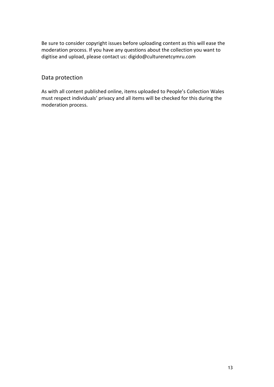Be sure to consider copyright issues before uploading content as this will ease the moderation process. If you have any questions about the collection you want to digitise and upload, please contact us: digido@culturenetcymru.com

#### Data protection

As with all content published online, items uploaded to People's Collection Wales must respect individuals' privacy and all items will be checked for this during the moderation process.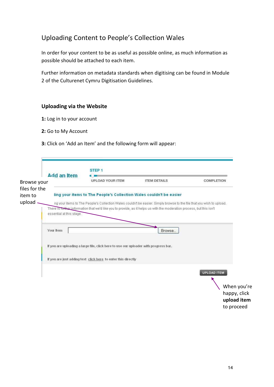## Uploading Content to People's Collection Wales

In order for your content to be as useful as possible online, as much information as possible should be attached to each item.

Further information on metadata standards when digitising can be found in Module 2 of the Culturenet Cymru Digitisation Guidelines.

#### **Uploading via the Website**

- **1:** Log in to your account
- **2:** Go to My Account
- **3:** Click on 'Add an Item' and the following form will appear:

| <b>Add an Item</b>       |                                                                                      |                                                                                                                        |              |
|--------------------------|--------------------------------------------------------------------------------------|------------------------------------------------------------------------------------------------------------------------|--------------|
| Browse your              | <b>UPLOAD YOUR ITEM</b>                                                              | <b>ITEM DETAILS</b>                                                                                                    | COMPLETION   |
| files for the            |                                                                                      |                                                                                                                        |              |
|                          | ling your items to The People's Collection Wales couldn't be easier                  |                                                                                                                        |              |
|                          |                                                                                      | ng your items to The People's Collection Wales couldn't be easier. Simply browse to the file that you wish to upload.  |              |
| essential at this stage. |                                                                                      | There is in the rinformation that we'd like you to provide, as it helps us with the moderation process, but this isn't |              |
|                          |                                                                                      |                                                                                                                        |              |
|                          |                                                                                      |                                                                                                                        |              |
| Your Item                |                                                                                      | Browse                                                                                                                 |              |
|                          |                                                                                      |                                                                                                                        |              |
|                          | If you are uploading a large file, click here to use our uploader with progress bar, |                                                                                                                        |              |
|                          | If you are just adding text click here to enter this directly                        |                                                                                                                        |              |
|                          |                                                                                      |                                                                                                                        |              |
|                          |                                                                                      |                                                                                                                        | UPLOAD ITEM  |
|                          |                                                                                      |                                                                                                                        |              |
|                          |                                                                                      |                                                                                                                        | When you're  |
|                          |                                                                                      |                                                                                                                        |              |
|                          |                                                                                      |                                                                                                                        | happy, click |

to proceed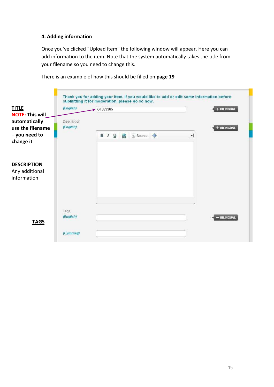#### **4: Adding information**

Once you've clicked "Upload Item" the following window will appear. Here you can add information to the item. Note that the system automatically takes the title from your filename so you need to change this.



There is an example of how this should be filled on **page 19**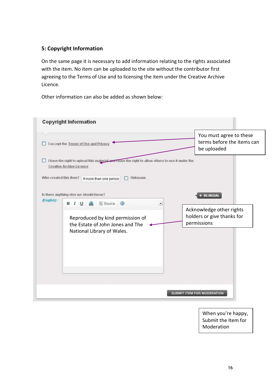#### **5: Copyright Information**

On the same page it is necessary to add information relating to the rights associated with the item. No item can be uploaded to the site without the contributor first agreeing to the Terms of Use and to licensing the item under the Creative Archive Licence.

Other information can also be added as shown below:

|                        | <b>Copyright Information</b>                                                                                                                                                  |                                                                       |
|------------------------|-------------------------------------------------------------------------------------------------------------------------------------------------------------------------------|-----------------------------------------------------------------------|
|                        | I accept the Terms of Use and Privacy                                                                                                                                         | You must agree to these<br>terms before the items can<br>be uploaded  |
|                        | I have the right to upload this material and I have the right to allow others to use it under the<br><b>Creative Archive Licence</b>                                          |                                                                       |
| Who created this item? | Unknown<br>If more than one persor<br>Is there anything else we should know?                                                                                                  | + BILINGUAL                                                           |
| (English)              | 图 Source ●<br>▲<br><b>B</b> <i>I</i> <u>U</u><br>$\left  \cdot \right $<br>Reproduced by kind permission of<br>the Estate of John Jones and The<br>National Library of Wales. | Acknowledge other rights<br>holders or give thanks for<br>permissions |
|                        |                                                                                                                                                                               | SUBMIT ITEM FOR MODERATION                                            |

When you're happy, Submit the Item for Moderation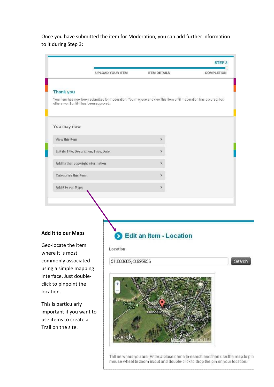Once you have submitted the item for Moderation, you can add further information to it during Step 3:

|                                                   |                         |                                                                                                                   | STEP <sub>3</sub> |
|---------------------------------------------------|-------------------------|-------------------------------------------------------------------------------------------------------------------|-------------------|
|                                                   | <b>UPLOAD YOUR ITEM</b> | <b>ITEM DETAILS</b>                                                                                               | COMPLETION        |
| Thank you                                         |                         |                                                                                                                   |                   |
| others won't until it has been approved.          |                         | Your item has now been submitted for moderation. You may use and view this item until moderation has occured, but |                   |
| You may now                                       |                         |                                                                                                                   |                   |
| View this Item                                    |                         | ×                                                                                                                 |                   |
| Edit its Title, Description, Tags, Date           |                         | ×                                                                                                                 |                   |
| Add further copyright information                 |                         | ×.                                                                                                                |                   |
| Categorise this Item                              |                         | ≯                                                                                                                 |                   |
| Add it to our Maps                                |                         | ×                                                                                                                 |                   |
|                                                   |                         |                                                                                                                   |                   |
|                                                   |                         |                                                                                                                   |                   |
| <b>Add it to our Maps</b>                         |                         | Edit an Item - Location                                                                                           |                   |
| Geo-locate the item<br>where it is most           | Location                |                                                                                                                   |                   |
| commonly associated                               | 51.883685,-3.995936     |                                                                                                                   |                   |
| using a simple mapping<br>interface. Just double- |                         |                                                                                                                   |                   |
| click to pinpoint the                             |                         |                                                                                                                   |                   |
| location.                                         |                         |                                                                                                                   |                   |
| This is particularly                              | Dinefwr<br>Park         | Salutation (it)                                                                                                   |                   |
| important if you want to                          |                         | <b>Llandello</b>                                                                                                  |                   |
| use items to create a                             |                         |                                                                                                                   |                   |

Trail on the site.

Tell us where you are. Enter a place name to search and then use the map to pin mouse wheel to zoom in/out and double-click to drop the pin on your location.

17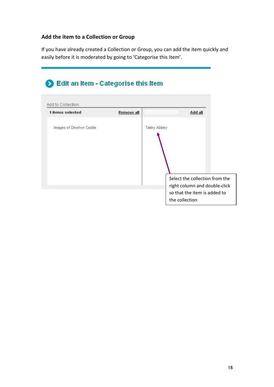#### **Add the item to a Collection or Group**

If you have already created a Collection or Group, you can add the item quickly and easily before it is moderated by going to 'Categorise this Item'.

# Edit an Item - Categorise this Item

| Talley Abbey                                                    |
|-----------------------------------------------------------------|
|                                                                 |
| Select the collection from the<br>right column and double-click |
|                                                                 |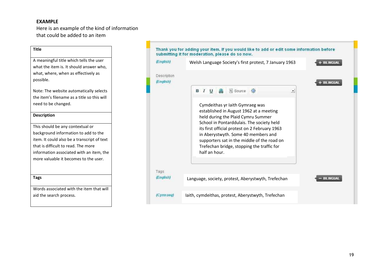#### **EXAMPLE**

Here is an example of the kind of information that could be added to an item

| <b>Title</b>                                |
|---------------------------------------------|
| A meaningful title which tells the user     |
| what the item is. It should answer who,     |
| what, where, when as effectively as         |
| possible.                                   |
| Note: The website automatically selects     |
| the item's filename as a title so this will |
| need to be changed.                         |
| <b>Description</b>                          |
| This should be any contextual or            |
| background information to add to the        |
| item. It could also be a transcript of text |
| that is difficult to read. The more         |
| information associated with an item, the    |
| more valuable it becomes to the user.       |
|                                             |
| <b>Tags</b>                                 |
| Words associated with the item that will    |
| aid the search process.                     |
|                                             |

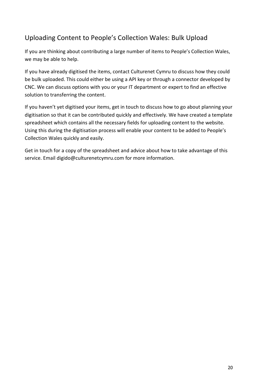## Uploading Content to People's Collection Wales: Bulk Upload

If you are thinking about contributing a large number of items to People's Collection Wales, we may be able to help.

If you have already digitised the items, contact Culturenet Cymru to discuss how they could be bulk uploaded. This could either be using a API key or through a connector developed by CNC. We can discuss options with you or your IT department or expert to find an effective solution to transferring the content.

If you haven't yet digitised your items, get in touch to discuss how to go about planning your digitisation so that it can be contributed quickly and effectively. We have created a template spreadsheet which contains all the necessary fields for uploading content to the website. Using this during the digitisation process will enable your content to be added to People's Collection Wales quickly and easily.

Get in touch for a copy of the spreadsheet and advice about how to take advantage of this service. Email digido@culturenetcymru.com for more information.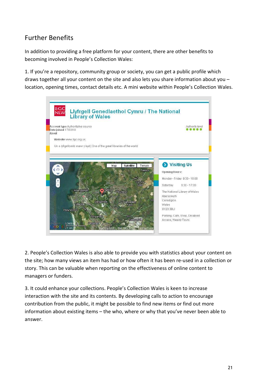## Further Benefits

In addition to providing a free platform for your content, there are other benefits to becoming involved in People's Collection Wales:

1. If you're a repository, community group or society, you can get a public profile which draws together all your content on the site and also lets you share information about you – location, opening times, contact details etc. A mini website within People's Collection Wales.



2. People's Collection Wales is also able to provide you with statistics about your content on the site; how many views an item has had or how often it has been re-used in a collection or story. This can be valuable when reporting on the effectiveness of online content to managers or funders.

3. It could enhance your collections. People's Collection Wales is keen to increase interaction with the site and its contents. By developing calls to action to encourage contribution from the public, it might be possible to find new items or find out more information about existing items – the who, where or why that you've never been able to answer.